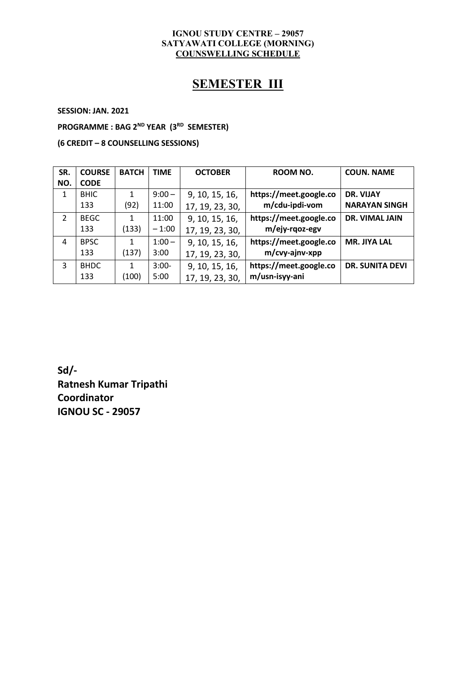#### **IGNOU STUDY CENTRE – 29057 SATYAWATI COLLEGE (MORNING) COUNSWELLING SCHEDULE**

## **SEMESTER III**

**SESSION: JAN. 2021**

**PROGRAMME : BAG 2 ND YEAR (3 RD SEMESTER)**

**(6 CREDIT – 8 COUNSELLING SESSIONS)**

| SR.           | <b>COURSE</b> | <b>BATCH</b> | <b>TIME</b> | <b>OCTOBER</b>  | ROOM NO.               | <b>COUN. NAME</b>      |
|---------------|---------------|--------------|-------------|-----------------|------------------------|------------------------|
| NO.           | <b>CODE</b>   |              |             |                 |                        |                        |
| 1             | <b>BHIC</b>   |              | $9:00 -$    | 9, 10, 15, 16,  | https://meet.google.co | DR. VIJAY              |
|               | 133           | (92)         | 11:00       | 17, 19, 23, 30, | m/cdu-ipdi-vom         | <b>NARAYAN SINGH</b>   |
| $\mathcal{L}$ | <b>BEGC</b>   |              | 11:00       | 9, 10, 15, 16,  | https://meet.google.co | DR. VIMAL JAIN         |
|               | 133           | (133)        | $-1:00$     | 17, 19, 23, 30, | m/ejy-rqoz-egy         |                        |
| 4             | <b>BPSC</b>   |              | $1:00 -$    | 9, 10, 15, 16,  | https://meet.google.co | <b>MR. JIYA LAL</b>    |
|               | 133           | (137)        | 3:00        | 17, 19, 23, 30, | m/cvy-ajnv-xpp         |                        |
| 3             | <b>BHDC</b>   |              | $3:00-$     | 9, 10, 15, 16,  | https://meet.google.co | <b>DR. SUNITA DEVI</b> |
|               | 133           | (100)        | 5:00        | 17, 19, 23, 30, | m/usn-isyy-ani         |                        |

**Sd/- Ratnesh Kumar Tripathi Coordinator IGNOU SC - 29057**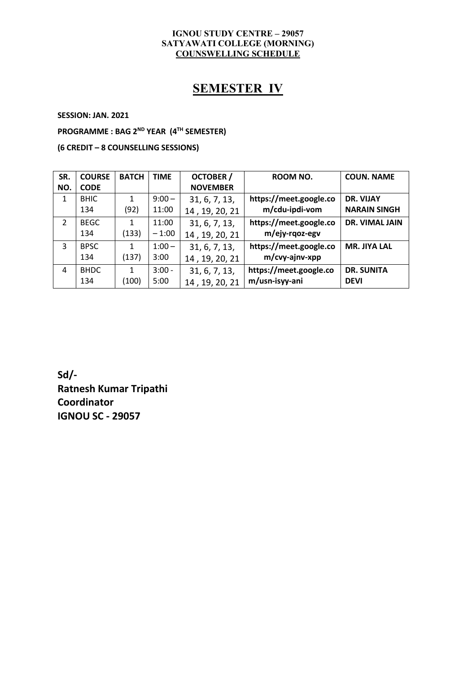#### **IGNOU STUDY CENTRE – 29057 SATYAWATI COLLEGE (MORNING) COUNSWELLING SCHEDULE**

# **SEMESTER IV**

**SESSION: JAN. 2021**

**PROGRAMME : BAG 2 ND YEAR (4 TH SEMESTER)**

**(6 CREDIT – 8 COUNSELLING SESSIONS)**

| SR.            | <b>COURSE</b> | <b>BATCH</b> | <b>TIME</b> | <b>OCTOBER /</b> | ROOM NO.               | <b>COUN. NAME</b>   |
|----------------|---------------|--------------|-------------|------------------|------------------------|---------------------|
| NO.            | <b>CODE</b>   |              |             | <b>NOVEMBER</b>  |                        |                     |
| 1              | <b>BHIC</b>   |              | $9:00 -$    | 31, 6, 7, 13,    | https://meet.google.co | DR. VIJAY           |
|                | 134           | (92)         | 11:00       | 14, 19, 20, 21   | m/cdu-ipdi-vom         | <b>NARAIN SINGH</b> |
| $\overline{2}$ | <b>BEGC</b>   |              | 11:00       | 31, 6, 7, 13,    | https://meet.google.co | DR. VIMAL JAIN      |
|                | 134           | (133)        | $-1:00$     | 14, 19, 20, 21   | m/ejy-rqoz-egy         |                     |
| 3              | <b>BPSC</b>   |              | $1:00 -$    | 31, 6, 7, 13,    | https://meet.google.co | <b>MR. JIYA LAL</b> |
|                | 134           | (137)        | 3:00        | 14, 19, 20, 21   | m/cvy-ajnv-xpp         |                     |
| 4              | <b>BHDC</b>   |              | $3:00 -$    | 31, 6, 7, 13,    | https://meet.google.co | <b>DR. SUNITA</b>   |
|                | 134           | (100)        | 5:00        | 14, 19, 20, 21   | m/usn-isyy-ani         | <b>DEVI</b>         |

**Sd/- Ratnesh Kumar Tripathi Coordinator IGNOU SC - 29057**